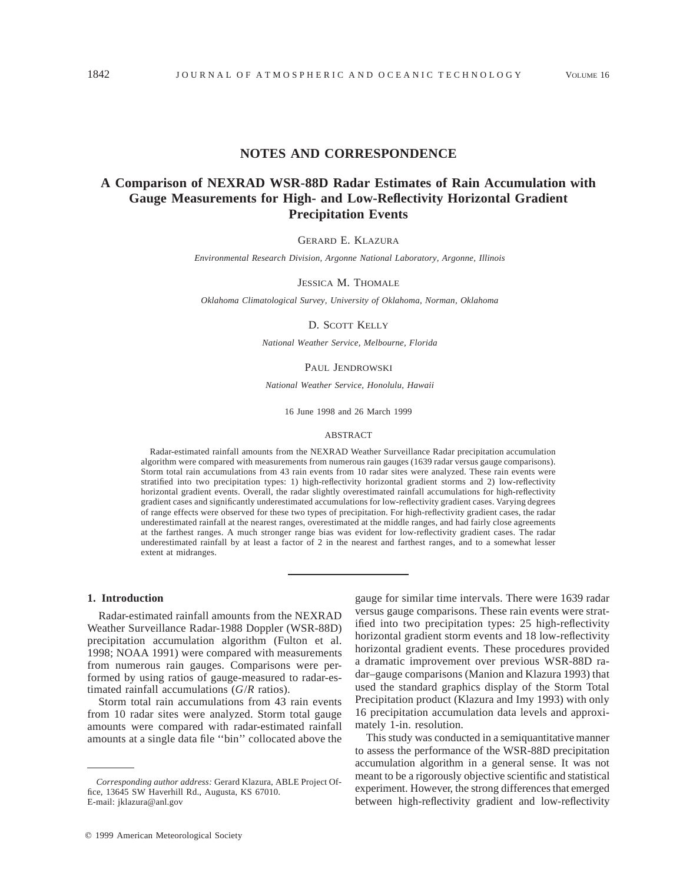## **NOTES AND CORRESPONDENCE**

# **A Comparison of NEXRAD WSR-88D Radar Estimates of Rain Accumulation with Gauge Measurements for High- and Low-Reflectivity Horizontal Gradient Precipitation Events**

#### GERARD E. KLAZURA

*Environmental Research Division, Argonne National Laboratory, Argonne, Illinois*

#### JESSICA M. THOMALE

*Oklahoma Climatological Survey, University of Oklahoma, Norman, Oklahoma*

## D. SCOTT KELLY

*National Weather Service, Melbourne, Florida*

## PAUL JENDROWSKI

*National Weather Service, Honolulu, Hawaii*

16 June 1998 and 26 March 1999

#### ABSTRACT

Radar-estimated rainfall amounts from the NEXRAD Weather Surveillance Radar precipitation accumulation algorithm were compared with measurements from numerous rain gauges (1639 radar versus gauge comparisons). Storm total rain accumulations from 43 rain events from 10 radar sites were analyzed. These rain events were stratified into two precipitation types: 1) high-reflectivity horizontal gradient storms and 2) low-reflectivity horizontal gradient events. Overall, the radar slightly overestimated rainfall accumulations for high-reflectivity gradient cases and significantly underestimated accumulations for low-reflectivity gradient cases. Varying degrees of range effects were observed for these two types of precipitation. For high-reflectivity gradient cases, the radar underestimated rainfall at the nearest ranges, overestimated at the middle ranges, and had fairly close agreements at the farthest ranges. A much stronger range bias was evident for low-reflectivity gradient cases. The radar underestimated rainfall by at least a factor of 2 in the nearest and farthest ranges, and to a somewhat lesser extent at midranges.

## **1. Introduction**

Radar-estimated rainfall amounts from the NEXRAD Weather Surveillance Radar-1988 Doppler (WSR-88D) precipitation accumulation algorithm (Fulton et al. 1998; NOAA 1991) were compared with measurements from numerous rain gauges. Comparisons were performed by using ratios of gauge-measured to radar-estimated rainfall accumulations (*G*/*R* ratios).

Storm total rain accumulations from 43 rain events from 10 radar sites were analyzed. Storm total gauge amounts were compared with radar-estimated rainfall amounts at a single data file ''bin'' collocated above the

gauge for similar time intervals. There were 1639 radar versus gauge comparisons. These rain events were stratified into two precipitation types: 25 high-reflectivity horizontal gradient storm events and 18 low-reflectivity horizontal gradient events. These procedures provided a dramatic improvement over previous WSR-88D radar–gauge comparisons (Manion and Klazura 1993) that used the standard graphics display of the Storm Total Precipitation product (Klazura and Imy 1993) with only 16 precipitation accumulation data levels and approximately 1-in. resolution.

This study was conducted in a semiquantitative manner to assess the performance of the WSR-88D precipitation accumulation algorithm in a general sense. It was not meant to be a rigorously objective scientific and statistical experiment. However, the strong differences that emerged between high-reflectivity gradient and low-reflectivity

*Corresponding author address:* Gerard Klazura, ABLE Project Office, 13645 SW Haverhill Rd., Augusta, KS 67010. E-mail: jklazura@anl.gov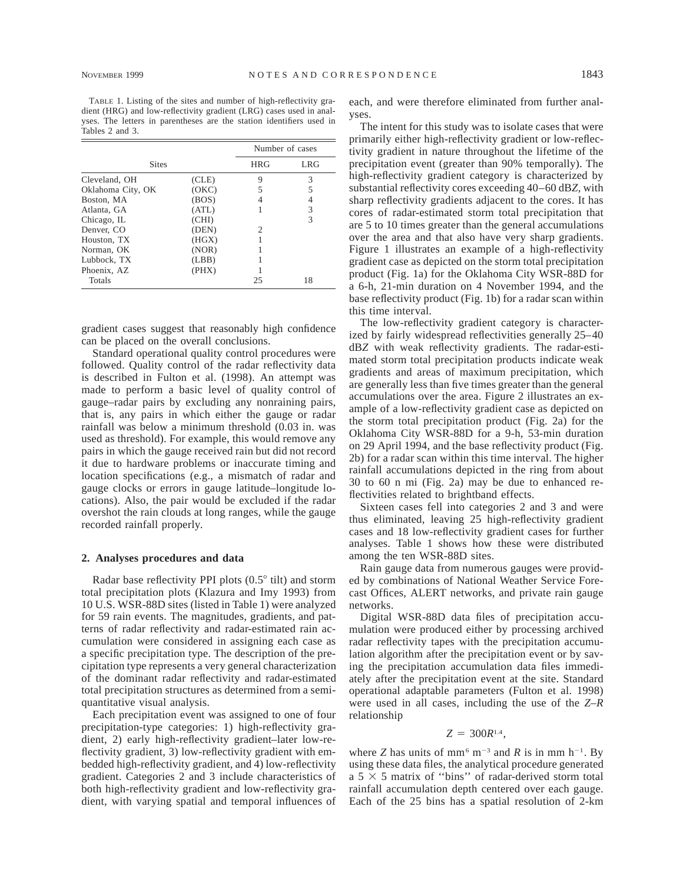TABLE 1. Listing of the sites and number of high-reflectivity gradient (HRG) and low-reflectivity gradient (LRG) cases used in analyses. The letters in parentheses are the station identifiers used in Tables 2 and 3.

|                   |       |            | Number of cases |
|-------------------|-------|------------|-----------------|
| <b>Sites</b>      |       | <b>HRG</b> | <b>LRG</b>      |
| Cleveland, OH     | (CLE) | 9          | 3               |
| Oklahoma City, OK | (OKC) |            | 5               |
| Boston, MA        | (BOS) |            | 4               |
| Atlanta, GA       | (ATL) |            | 3               |
| Chicago, IL       | (CHI) |            | 3               |
| Denver, CO        | (DEN) | 2          |                 |
| Houston, TX       | (HGX) |            |                 |
| Norman, OK        | (NOR) |            |                 |
| Lubbock, TX       | (LBB) |            |                 |
| Phoenix, AZ       | (PHX) |            |                 |
| Totals            |       | 25         | 18              |

gradient cases suggest that reasonably high confidence can be placed on the overall conclusions.

Standard operational quality control procedures were followed. Quality control of the radar reflectivity data is described in Fulton et al. (1998). An attempt was made to perform a basic level of quality control of gauge–radar pairs by excluding any nonraining pairs, that is, any pairs in which either the gauge or radar rainfall was below a minimum threshold (0.03 in. was used as threshold). For example, this would remove any pairs in which the gauge received rain but did not record it due to hardware problems or inaccurate timing and location specifications (e.g., a mismatch of radar and gauge clocks or errors in gauge latitude–longitude locations). Also, the pair would be excluded if the radar overshot the rain clouds at long ranges, while the gauge recorded rainfall properly.

#### **2. Analyses procedures and data**

Radar base reflectivity PPI plots  $(0.5^{\circ}$  tilt) and storm total precipitation plots (Klazura and Imy 1993) from 10 U.S. WSR-88D sites (listed in Table 1) were analyzed for 59 rain events. The magnitudes, gradients, and patterns of radar reflectivity and radar-estimated rain accumulation were considered in assigning each case as a specific precipitation type. The description of the precipitation type represents a very general characterization of the dominant radar reflectivity and radar-estimated total precipitation structures as determined from a semiquantitative visual analysis.

Each precipitation event was assigned to one of four precipitation-type categories: 1) high-reflectivity gradient, 2) early high-reflectivity gradient–later low-reflectivity gradient, 3) low-reflectivity gradient with embedded high-reflectivity gradient, and 4) low-reflectivity gradient. Categories 2 and 3 include characteristics of both high-reflectivity gradient and low-reflectivity gradient, with varying spatial and temporal influences of each, and were therefore eliminated from further analyses.

The intent for this study was to isolate cases that were primarily either high-reflectivity gradient or low-reflectivity gradient in nature throughout the lifetime of the precipitation event (greater than 90% temporally). The high-reflectivity gradient category is characterized by substantial reflectivity cores exceeding 40–60 dB*Z,* with sharp reflectivity gradients adjacent to the cores. It has cores of radar-estimated storm total precipitation that are 5 to 10 times greater than the general accumulations over the area and that also have very sharp gradients. Figure 1 illustrates an example of a high-reflectivity gradient case as depicted on the storm total precipitation product (Fig. 1a) for the Oklahoma City WSR-88D for a 6-h, 21-min duration on 4 November 1994, and the base reflectivity product (Fig. 1b) for a radar scan within this time interval.

The low-reflectivity gradient category is characterized by fairly widespread reflectivities generally 25–40 dB*Z* with weak reflectivity gradients. The radar-estimated storm total precipitation products indicate weak gradients and areas of maximum precipitation, which are generally less than five times greater than the general accumulations over the area. Figure 2 illustrates an example of a low-reflectivity gradient case as depicted on the storm total precipitation product (Fig. 2a) for the Oklahoma City WSR-88D for a 9-h, 53-min duration on 29 April 1994, and the base reflectivity product (Fig. 2b) for a radar scan within this time interval. The higher rainfall accumulations depicted in the ring from about 30 to 60 n mi (Fig. 2a) may be due to enhanced reflectivities related to brightband effects.

Sixteen cases fell into categories 2 and 3 and were thus eliminated, leaving 25 high-reflectivity gradient cases and 18 low-reflectivity gradient cases for further analyses. Table 1 shows how these were distributed among the ten WSR-88D sites.

Rain gauge data from numerous gauges were provided by combinations of National Weather Service Forecast Offices, ALERT networks, and private rain gauge networks.

Digital WSR-88D data files of precipitation accumulation were produced either by processing archived radar reflectivity tapes with the precipitation accumulation algorithm after the precipitation event or by saving the precipitation accumulation data files immediately after the precipitation event at the site. Standard operational adaptable parameters (Fulton et al. 1998) were used in all cases, including the use of the *Z–R* relationship

#### $Z = 300R^{1.4}$ ,

where *Z* has units of mm<sup>6</sup> m<sup>-3</sup> and *R* is in mm h<sup>-1</sup>. By using these data files, the analytical procedure generated a  $5 \times 5$  matrix of "bins" of radar-derived storm total rainfall accumulation depth centered over each gauge. Each of the 25 bins has a spatial resolution of 2-km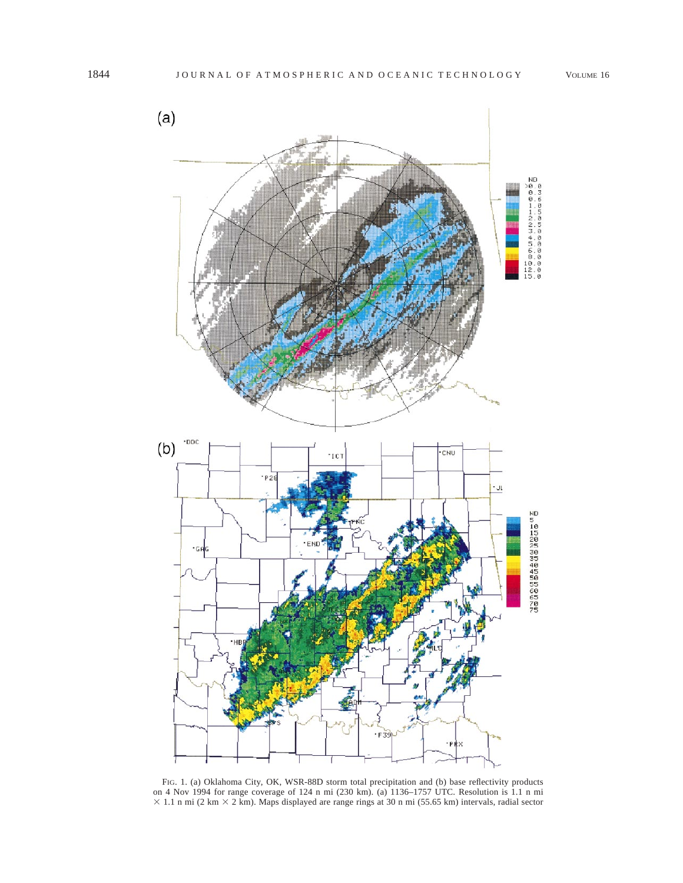

FIG. 1. (a) Oklahoma City, OK, WSR-88D storm total precipitation and (b) base reflectivity products on 4 Nov 1994 for range coverage of 124 n mi (230 km). (a) 1136–1757 UTC. Resolution is 1.1 n mi  $\times$  1.1 n mi (2 km  $\times$  2 km). Maps displayed are range rings at 30 n mi (55.65 km) intervals, radial sector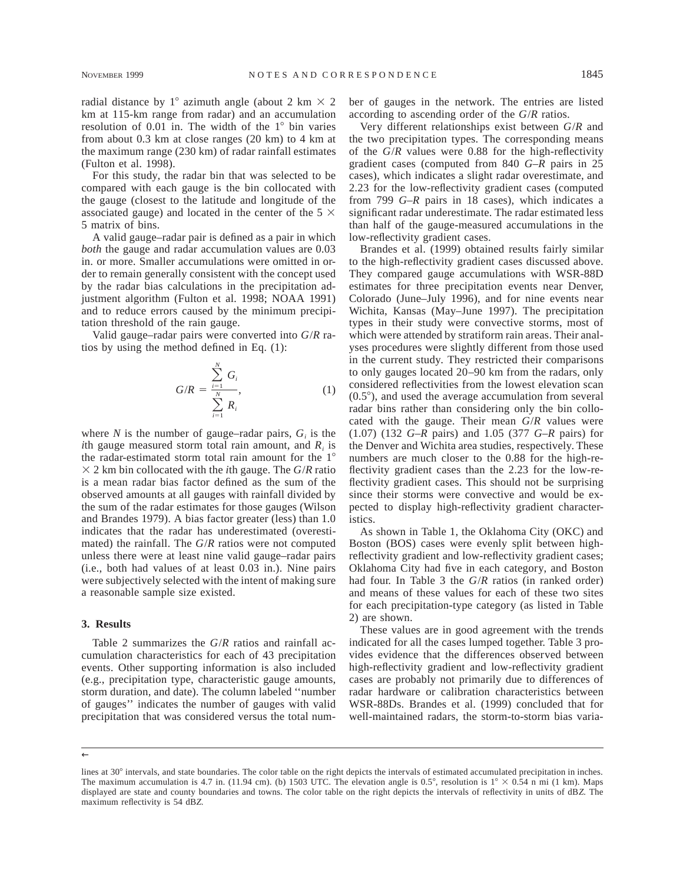radial distance by 1° azimuth angle (about 2 km  $\times$  2 km at 115-km range from radar) and an accumulation resolution of  $0.01$  in. The width of the  $1^\circ$  bin varies from about 0.3 km at close ranges (20 km) to 4 km at the maximum range (230 km) of radar rainfall estimates (Fulton et al. 1998).

For this study, the radar bin that was selected to be compared with each gauge is the bin collocated with the gauge (closest to the latitude and longitude of the associated gauge) and located in the center of the 5  $\times$ 5 matrix of bins.

A valid gauge–radar pair is defined as a pair in which *both* the gauge and radar accumulation values are 0.03 in. or more. Smaller accumulations were omitted in order to remain generally consistent with the concept used by the radar bias calculations in the precipitation adjustment algorithm (Fulton et al. 1998; NOAA 1991) and to reduce errors caused by the minimum precipitation threshold of the rain gauge.

Valid gauge–radar pairs were converted into *G*/*R* ratios by using the method defined in Eq. (1):

$$
G/R = \frac{\sum_{i=1}^{N} G_i}{\sum_{i=1}^{N} R_i},
$$
 (1)

where  $N$  is the number of gauge–radar pairs,  $G_i$  is the *i*th gauge measured storm total rain amount, and  $R_i$  is the radar-estimated storm total rain amount for the  $1^\circ$  $\times$  2 km bin collocated with the *i*th gauge. The *G*/*R* ratio is a mean radar bias factor defined as the sum of the observed amounts at all gauges with rainfall divided by the sum of the radar estimates for those gauges (Wilson and Brandes 1979). A bias factor greater (less) than 1.0 indicates that the radar has underestimated (overestimated) the rainfall. The *G*/*R* ratios were not computed unless there were at least nine valid gauge–radar pairs (i.e., both had values of at least 0.03 in.). Nine pairs were subjectively selected with the intent of making sure a reasonable sample size existed.

#### **3. Results**

Table 2 summarizes the *G*/*R* ratios and rainfall accumulation characteristics for each of 43 precipitation events. Other supporting information is also included (e.g., precipitation type, characteristic gauge amounts, storm duration, and date). The column labeled ''number of gauges'' indicates the number of gauges with valid precipitation that was considered versus the total number of gauges in the network. The entries are listed according to ascending order of the *G*/*R* ratios.

Very different relationships exist between *G*/*R* and the two precipitation types. The corresponding means of the *G*/*R* values were 0.88 for the high-reflectivity gradient cases (computed from 840 *G–R* pairs in 25 cases), which indicates a slight radar overestimate, and 2.23 for the low-reflectivity gradient cases (computed from 799 *G–R* pairs in 18 cases), which indicates a significant radar underestimate. The radar estimated less than half of the gauge-measured accumulations in the low-reflectivity gradient cases.

Brandes et al. (1999) obtained results fairly similar to the high-reflectivity gradient cases discussed above. They compared gauge accumulations with WSR-88D estimates for three precipitation events near Denver, Colorado (June–July 1996), and for nine events near Wichita, Kansas (May–June 1997). The precipitation types in their study were convective storms, most of which were attended by stratiform rain areas. Their analyses procedures were slightly different from those used in the current study. They restricted their comparisons to only gauges located 20–90 km from the radars, only considered reflectivities from the lowest elevation scan  $(0.5^{\circ})$ , and used the average accumulation from several radar bins rather than considering only the bin collocated with the gauge. Their mean *G*/*R* values were (1.07) (132 *G–R* pairs) and 1.05 (377 *G–R* pairs) for the Denver and Wichita area studies, respectively. These numbers are much closer to the 0.88 for the high-reflectivity gradient cases than the 2.23 for the low-reflectivity gradient cases. This should not be surprising since their storms were convective and would be expected to display high-reflectivity gradient characteristics.

As shown in Table 1, the Oklahoma City (OKC) and Boston (BOS) cases were evenly split between highreflectivity gradient and low-reflectivity gradient cases; Oklahoma City had five in each category, and Boston had four. In Table 3 the *G*/*R* ratios (in ranked order) and means of these values for each of these two sites for each precipitation-type category (as listed in Table 2) are shown.

These values are in good agreement with the trends indicated for all the cases lumped together. Table 3 provides evidence that the differences observed between high-reflectivity gradient and low-reflectivity gradient cases are probably not primarily due to differences of radar hardware or calibration characteristics between WSR-88Ds. Brandes et al. (1999) concluded that for well-maintained radars, the storm-to-storm bias varia-

←

lines at 30° intervals, and state boundaries. The color table on the right depicts the intervals of estimated accumulated precipitation in inches. The maximum accumulation is 4.7 in. (11.94 cm). (b) 1503 UTC. The elevation angle is 0.5°, resolution is  $1^\circ \times 0.54$  n mi (1 km). Maps displayed are state and county boundaries and towns. The color table on the right depicts the intervals of reflectivity in units of dB*Z.* The maximum reflectivity is 54 dB*Z.*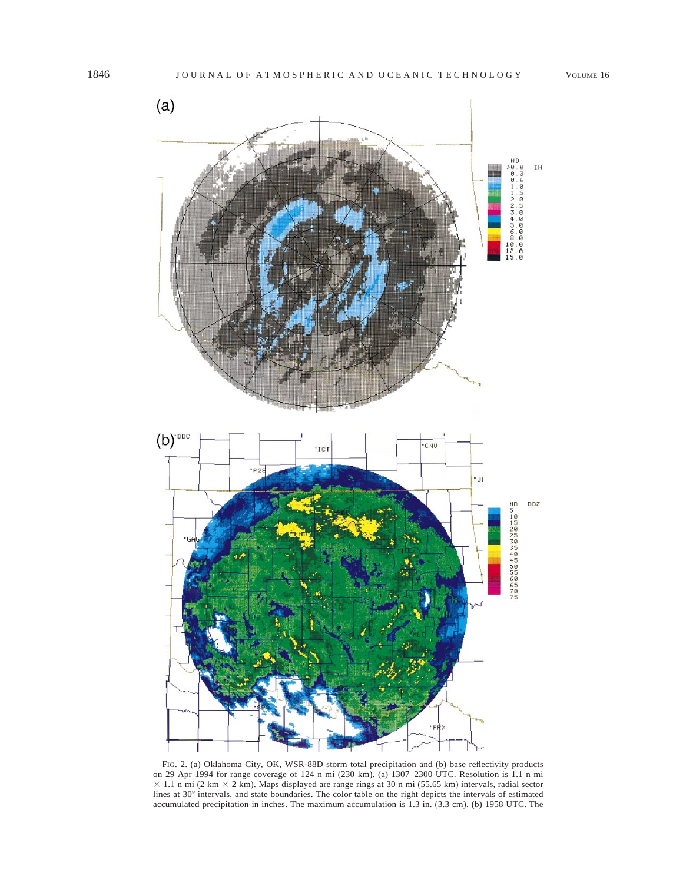

FIG. 2. (a) Oklahoma City, OK, WSR-88D storm total precipitation and (b) base reflectivity products on 29 Apr 1994 for range coverage of 124 n mi (230 km). (a) 1307–2300 UTC. Resolution is 1.1 n mi  $\times$  1.1 n mi (2 km  $\times$  2 km). Maps displayed are range rings at 30 n mi (55.65 km) intervals, radial sector lines at 30° intervals, and state boundaries. The color table on the right depicts the intervals of estimated accumulated precipitation in inches. The maximum accumulation is 1.3 in. (3.3 cm). (b) 1958 UTC. The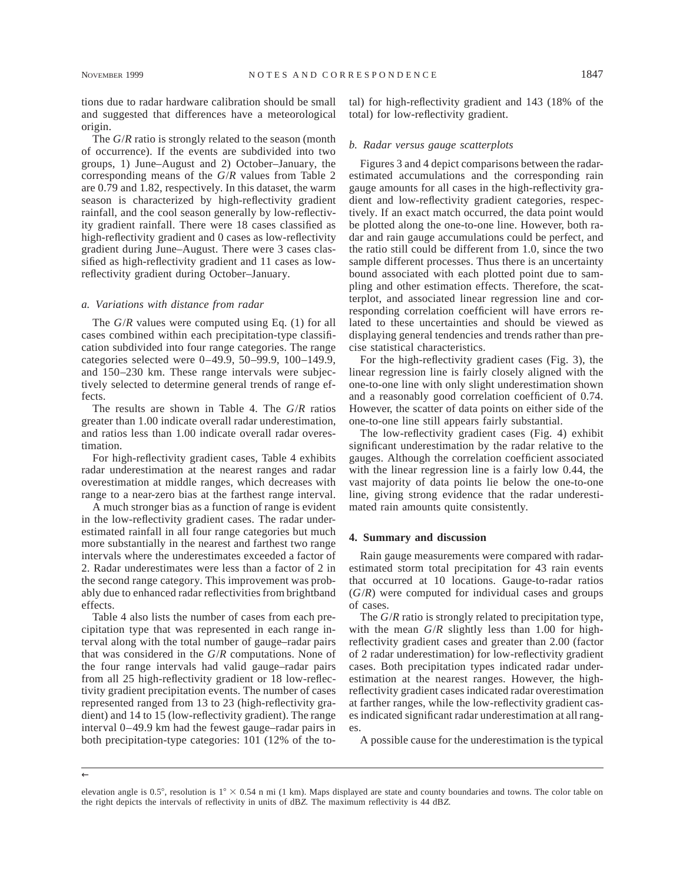tions due to radar hardware calibration should be small and suggested that differences have a meteorological origin.

The *G*/*R* ratio is strongly related to the season (month of occurrence). If the events are subdivided into two groups, 1) June–August and 2) October–January, the corresponding means of the *G*/*R* values from Table 2 are 0.79 and 1.82, respectively. In this dataset, the warm season is characterized by high-reflectivity gradient rainfall, and the cool season generally by low-reflectivity gradient rainfall. There were 18 cases classified as high-reflectivity gradient and 0 cases as low-reflectivity gradient during June–August. There were 3 cases classified as high-reflectivity gradient and 11 cases as lowreflectivity gradient during October–January.

#### *a. Variations with distance from radar*

The *G*/*R* values were computed using Eq. (1) for all cases combined within each precipitation-type classification subdivided into four range categories. The range categories selected were 0–49.9, 50–99.9, 100–149.9, and 150–230 km. These range intervals were subjectively selected to determine general trends of range effects.

The results are shown in Table 4. The *G*/*R* ratios greater than 1.00 indicate overall radar underestimation, and ratios less than 1.00 indicate overall radar overestimation.

For high-reflectivity gradient cases, Table 4 exhibits radar underestimation at the nearest ranges and radar overestimation at middle ranges, which decreases with range to a near-zero bias at the farthest range interval.

A much stronger bias as a function of range is evident in the low-reflectivity gradient cases. The radar underestimated rainfall in all four range categories but much more substantially in the nearest and farthest two range intervals where the underestimates exceeded a factor of 2. Radar underestimates were less than a factor of 2 in the second range category. This improvement was probably due to enhanced radar reflectivities from brightband effects.

Table 4 also lists the number of cases from each precipitation type that was represented in each range interval along with the total number of gauge–radar pairs that was considered in the *G*/*R* computations. None of the four range intervals had valid gauge–radar pairs from all 25 high-reflectivity gradient or 18 low-reflectivity gradient precipitation events. The number of cases represented ranged from 13 to 23 (high-reflectivity gradient) and 14 to 15 (low-reflectivity gradient). The range interval 0–49.9 km had the fewest gauge–radar pairs in both precipitation-type categories: 101 (12% of the total) for high-reflectivity gradient and 143 (18% of the total) for low-reflectivity gradient.

#### *b. Radar versus gauge scatterplots*

Figures 3 and 4 depict comparisons between the radarestimated accumulations and the corresponding rain gauge amounts for all cases in the high-reflectivity gradient and low-reflectivity gradient categories, respectively. If an exact match occurred, the data point would be plotted along the one-to-one line. However, both radar and rain gauge accumulations could be perfect, and the ratio still could be different from 1.0, since the two sample different processes. Thus there is an uncertainty bound associated with each plotted point due to sampling and other estimation effects. Therefore, the scatterplot, and associated linear regression line and corresponding correlation coefficient will have errors related to these uncertainties and should be viewed as displaying general tendencies and trends rather than precise statistical characteristics.

For the high-reflectivity gradient cases (Fig. 3), the linear regression line is fairly closely aligned with the one-to-one line with only slight underestimation shown and a reasonably good correlation coefficient of 0.74. However, the scatter of data points on either side of the one-to-one line still appears fairly substantial.

The low-reflectivity gradient cases (Fig. 4) exhibit significant underestimation by the radar relative to the gauges. Although the correlation coefficient associated with the linear regression line is a fairly low 0.44, the vast majority of data points lie below the one-to-one line, giving strong evidence that the radar underestimated rain amounts quite consistently.

#### **4. Summary and discussion**

Rain gauge measurements were compared with radarestimated storm total precipitation for 43 rain events that occurred at 10 locations. Gauge-to-radar ratios (*G*/*R*) were computed for individual cases and groups of cases.

The *G*/*R* ratio is strongly related to precipitation type, with the mean *G*/*R* slightly less than 1.00 for highreflectivity gradient cases and greater than 2.00 (factor of 2 radar underestimation) for low-reflectivity gradient cases. Both precipitation types indicated radar underestimation at the nearest ranges. However, the highreflectivity gradient cases indicated radar overestimation at farther ranges, while the low-reflectivity gradient cases indicated significant radar underestimation at all ranges.

A possible cause for the underestimation is the typical

<sup>←</sup>

elevation angle is 0.5°, resolution is  $1^\circ \times 0.54$  n mi (1 km). Maps displayed are state and county boundaries and towns. The color table on the right depicts the intervals of reflectivity in units of dB*Z.* The maximum reflectivity is 44 dB*Z.*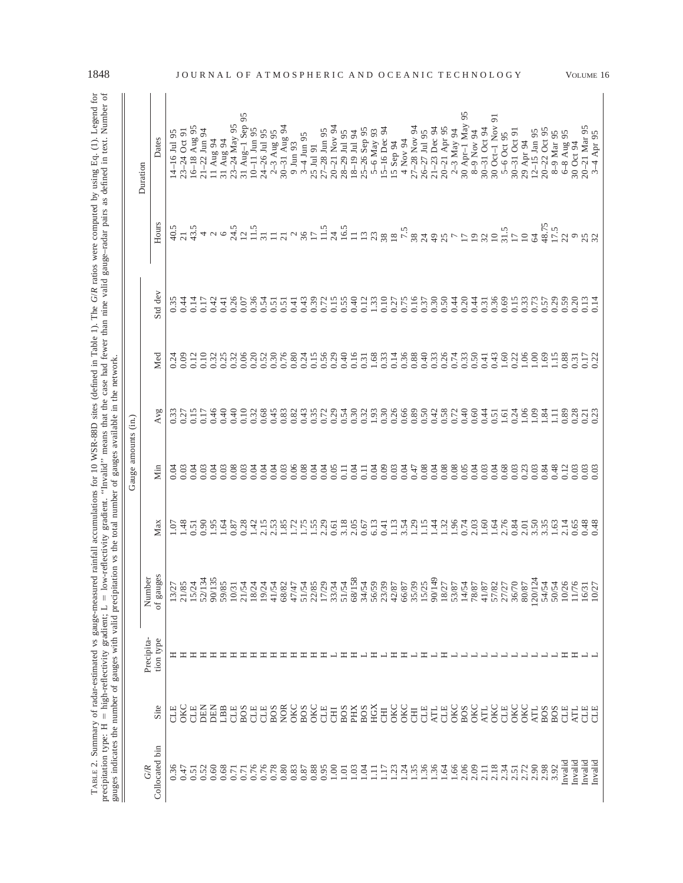|                                                                | c<br>*                                                                           |                                   |
|----------------------------------------------------------------|----------------------------------------------------------------------------------|-----------------------------------|
|                                                                |                                                                                  |                                   |
|                                                                |                                                                                  |                                   |
| $\cdots$                                                       |                                                                                  |                                   |
|                                                                | ed in text. Numb                                                                 |                                   |
| $\sim$ (1)<br>しいさい strust                                      |                                                                                  |                                   |
|                                                                |                                                                                  |                                   |
|                                                                |                                                                                  |                                   |
|                                                                |                                                                                  |                                   |
|                                                                |                                                                                  |                                   |
|                                                                |                                                                                  |                                   |
|                                                                |                                                                                  |                                   |
|                                                                |                                                                                  |                                   |
|                                                                |                                                                                  |                                   |
|                                                                |                                                                                  |                                   |
|                                                                |                                                                                  |                                   |
|                                                                |                                                                                  |                                   |
|                                                                |                                                                                  |                                   |
|                                                                |                                                                                  |                                   |
|                                                                |                                                                                  |                                   |
|                                                                |                                                                                  |                                   |
|                                                                |                                                                                  |                                   |
|                                                                |                                                                                  |                                   |
|                                                                |                                                                                  |                                   |
|                                                                |                                                                                  |                                   |
|                                                                |                                                                                  | e network                         |
|                                                                |                                                                                  |                                   |
|                                                                |                                                                                  |                                   |
| 0 WSR-88D sites (defined in Table 1). The G/R ratios were com- | invalid" means that the case had fewer than nine valid gauge-radar pairs as der- |                                   |
|                                                                |                                                                                  |                                   |
|                                                                |                                                                                  |                                   |
|                                                                |                                                                                  |                                   |
|                                                                |                                                                                  |                                   |
|                                                                |                                                                                  | į                                 |
| $\frac{1}{2}$                                                  | ivity gradient. "Invali-                                                         |                                   |
|                                                                |                                                                                  |                                   |
|                                                                |                                                                                  | ipitation vs the total number of  |
|                                                                | 5.44                                                                             |                                   |
|                                                                |                                                                                  |                                   |
|                                                                |                                                                                  |                                   |
|                                                                |                                                                                  |                                   |
|                                                                |                                                                                  |                                   |
|                                                                |                                                                                  |                                   |
|                                                                |                                                                                  |                                   |
|                                                                | low                                                                              |                                   |
| ١                                                              | II                                                                               |                                   |
|                                                                | J                                                                                |                                   |
|                                                                |                                                                                  |                                   |
| j<br>ı                                                         |                                                                                  | $\ddot{ }$                        |
|                                                                |                                                                                  |                                   |
|                                                                |                                                                                  |                                   |
| an of the                                                      |                                                                                  | ì                                 |
|                                                                | j                                                                                | .<br>י                            |
|                                                                |                                                                                  |                                   |
|                                                                |                                                                                  |                                   |
|                                                                | $rac{1}{\pi}$                                                                    |                                   |
|                                                                |                                                                                  | $-$ 0.000 0.000 0.000 0.000 0.000 |
|                                                                |                                                                                  |                                   |
|                                                                | ¢                                                                                | .<br>.<br>.                       |
|                                                                |                                                                                  |                                   |
|                                                                |                                                                                  |                                   |
|                                                                |                                                                                  | $5 - 20$                          |
|                                                                |                                                                                  |                                   |
| E                                                              |                                                                                  |                                   |

|                       |                   |                         |                     |                            | Gauge amounts (in.) |              |              |              |                                                                   |                                  |           |
|-----------------------|-------------------|-------------------------|---------------------|----------------------------|---------------------|--------------|--------------|--------------|-------------------------------------------------------------------|----------------------------------|-----------|
| Collocated bin<br>G/R | Site              | Precipita-<br>tion type | of gauges<br>Number | Max                        | Min                 | Avg          | Med          | Std dev      | Hours                                                             | Dates<br>Duration                |           |
| 0.36                  | CLE               | ᄑ                       | 13/27               | $\overline{0}$             | 0.04                | 0.33         | 0.24         | 0.35         |                                                                   | 14-16 Jul 95                     |           |
| 0.47                  | OKC               |                         | 21/85               | 1.48                       | 0.03                | 0.27         | 0.09         | 0.44         | 40.5<br>21                                                        | $23 - 24$ Oct 91                 | JOURNAL   |
| 0.51                  | <b>CLE</b>        |                         | 15/24               | 0.51                       | 0.04                | 0.15         | 0.12         | 0.14         | 43.5                                                              | 16-18 Aug 95                     |           |
| 0.52                  | DEN               |                         | 52/134              | 0.90                       | 0.03                | 0.17         | 0.10         | 0.17         | $400$                                                             | $21 - 22$ Jun 94                 |           |
| 0.60                  | <b>DEN</b>        |                         | 90/135              | 1.95                       | 0.04                | 0.46         | 0.32         | 0.42         |                                                                   | 11 Aug 94                        |           |
| 0.68                  | LBB               |                         | 59/85               | 1.64                       | 0.03                | 0.40         | 0.25         | 0.41         |                                                                   | 31 Aug 94                        |           |
| 0.71                  | <b>CLE</b>        |                         | 10/31               | 0.87                       | 0.08                | 0.40         | 0.32         | 0.26         | 24.5                                                              | 23-24 May 95                     | $\Omega$  |
| 0.71                  | <b>BOS</b>        |                         | 21/54               | 0.28                       | 0.03                | 0.10         | 0.06         | 0.07         | 12                                                                | 31 Aug-1 Sep 95                  |           |
| 0.76<br>0.76          | CLE<br>CLE        |                         | 18/24<br>19/24      | $1.42$<br>2.15             | 0.04<br>0.04        | 0.68<br>0.32 | 0.20<br>0.52 | 0.36<br>0.54 |                                                                   | $10 - 11$ Jun 95<br>24-26 Jul 95 |           |
| 0.78                  | <b>BOS</b>        |                         | 41/54               | 2.53                       | 0.04                | 0.45         | 0.30         | 0.51         | $\frac{5}{13}$ $\frac{3}{11}$ $\frac{1}{11}$                      | 2-3 Aug 95                       |           |
| 0.80                  | <b>NOR</b>        |                         | 68/82               |                            | 0.03                | 0.83         | 0.76         | 0.51         |                                                                   | 30-31 Aug 94                     |           |
| 0.83                  | OKC               |                         | 47/47               | $1.75$<br>$1.75$           | 0.06                | 0.82         | 0.80         | 0.41         |                                                                   | 9 Jun 93                         |           |
| 0.87                  | <b>BOS</b>        |                         | 51/54               |                            | 0.08                | 0.43         | 0.24         | 0.43         |                                                                   | $3 - 4$ Jun 95                   |           |
| 0.88                  | OKC               | ᆍ                       | 22/85               | 1.55                       | 0.04                | 0.35         | 0.15         | 0.39         |                                                                   | 25 Jul 91                        |           |
| 0.95                  | CLE               | ᄑ                       | 17/29               | 2.29                       | 0.04                | 0.72         | 0.56         | 0.72         |                                                                   | 27-28 Jun 95                     |           |
| 1.00                  | <b>CHI</b>        |                         | 33/34               | 0.61                       | 0.05                | 0.29         | 0.29         | 0.15         |                                                                   | $20 - 21$ Nov 94                 |           |
| $1.01$                | B <sub>OS</sub>   |                         | 51/54               | 3.18                       | 0.11                | 0.54         | 0.40         | 0.55         |                                                                   | 28-29 Jul 95                     |           |
| 1.03                  | PНX               | ≖                       | 68/158              | 2.05                       | 0.04                | 0.30         | 0.16         | 0.40         |                                                                   | 18-19 Jul 94                     |           |
| 1.04                  | <b>BOS</b>        |                         | 34/54               | 0.67                       | $\overline{0}$ .    | 0.32         | 0.31         | 0.12         | $\alpha$ $8$ $\Gamma$ $\Xi$ $3$ $\Xi$ $\Xi$ $\Xi$ $\Xi$ $\Xi$ $3$ | 25-26 Sep 95                     | A N D     |
| $\Xi$                 | HGX               | Œ                       | 56/59               | 6.13                       | 0.04                | 1.93         | 1.68         | 1.33         |                                                                   | 5-6 May 93                       | $\lambda$ |
| 1.17                  | <b>EHD</b>        |                         | 23/39               | 0.41                       | 0.09                | 0.30         | 0.33         | $0.10\,$     |                                                                   | 15-16 Dec 94                     |           |
| 1.23                  | OKC               | ェ                       | 42/87               |                            | 0.03                | 0.26         | 0.14         | 0.27<br>0.75 |                                                                   | 15 Sep 94                        |           |
| 1.24                  | <b>OKC</b>        | ェ                       | 66/87               | $\frac{13}{3.50}$          | 0.04                | 0.66         | 0.36         |              | $380.5$<br>$7.5$                                                  | 4 Nov 94                         |           |
| 1.35                  | <b>CHI</b>        |                         | 35/39               |                            | 0.47                | 0.89         | 0.88         | 0.16         |                                                                   | 27-28 Nov 94                     |           |
| 1.36<br>1.36          | CLE<br><b>ATL</b> | ェ                       | 90/149<br>15/25     | $1.1430$<br>$1.306$        | 0.08<br>0.04        | 0.50<br>0.42 | 0.40<br>0.33 | 0.30<br>0.37 | $\overline{24}$                                                   | 21-23 Dec 94<br>$26 - 27$ Jul 95 | CEANIC    |
| 1.64                  | CLE               | ェ                       | 18/27               |                            | 0.08                | 0.58         | 0.26         | 0.50         |                                                                   | 20-21 Apr 95                     |           |
| 1.66                  | OKC               |                         | 53/87               |                            | 0.08                | 0.72         | 0.74         | 0.44         |                                                                   | $2 - 3$ May 94                   |           |
| 2.06                  | <b>BOS</b>        |                         | 14/54               | 0.74                       | 0.05                | 0.40         | 0.33         | 0.20         | 98779                                                             | 95<br>30 Apr-1 May               | CHNOLOGY  |
| 2.09                  | <b>OKC</b>        |                         | 78/87               | 2.03                       | 0.04                | 0.60         | 0.50         | 0.44         |                                                                   | 8-9 Nov 94                       |           |
| 2.11                  | <b>ATL</b>        |                         | 41/87               |                            | 0.03                | 0.44         | 0.41         | 0.31         | $\frac{32}{10}$                                                   | 30-31 Oct 94                     |           |
| 2.18                  | <b>OKC</b>        |                         | 57/82               | $1.60$<br>$1.64$<br>$2.76$ | 0.04                | 0.51         | 0.43         | 0.36         |                                                                   | 51<br>30 Oct-1 Nov               |           |
| 2.34                  | CLE               |                         | 27/27               |                            | 0.68                | 1.61         | 1.60         | 0.69         |                                                                   | 5-6 Oct 95                       |           |
| 2.51                  | OKC               |                         | 36/70               | 0.84                       | 0.03                | 0.24         | 0.22         | 0.15         | $\frac{31.5}{17}$                                                 | 30-31 Oct 91                     |           |
| 2.72                  | <b>OKC</b>        |                         | 80/87               | 2.01                       | 0.23                | 1.06         | 1.06         | 0.33         |                                                                   | 29 Apr 94                        |           |
| 2.90                  | <b>ATL</b>        |                         | 120/124             | 3.50                       | 0.03                | 1.09         | $1.00\,$     | 0.73         | 64                                                                | $12 - 15$ Jan 95                 |           |
| 2.98                  | B <sub>OS</sub>   |                         | 54/54               | 3.35                       | 0.84                | 1.84         | .69          | 0.57         | 48.75                                                             | $20 - 22$ Oct 95                 |           |
| Invalid<br>3.92       | <b>BOS</b><br>CLE |                         | 10/26<br>50/54      | 2.14<br>1.63               | 0.48<br>0.12        | $\Box$       | 115          | 0.29<br>0.59 | 17.5<br>22                                                        | 8-9 Mar 95                       |           |
| Invalid               | ЧE                | Ξ<br>ェ                  | 11/76               | 0.65                       | 0.03                | 0.89<br>0.28 | 0.88<br>0.31 | 0.20         | $\circ$                                                           | 6-8 Aug 95<br>30 Oct 94          |           |
| Invalid               | <b>CLE</b>        |                         | 16/31               | 0.48                       | 0.03                | 0.21         | 0.17         | 0.13         |                                                                   | 20-21 Mar 95                     | VOLUME 16 |
| Invalid               | CLE               |                         | 10/27               | 0.48                       | 0.03                | 0.23         | 0.22         | 0.14         | 25                                                                | 3-4 Apr 95                       |           |
|                       |                   |                         |                     |                            |                     |              |              |              |                                                                   |                                  |           |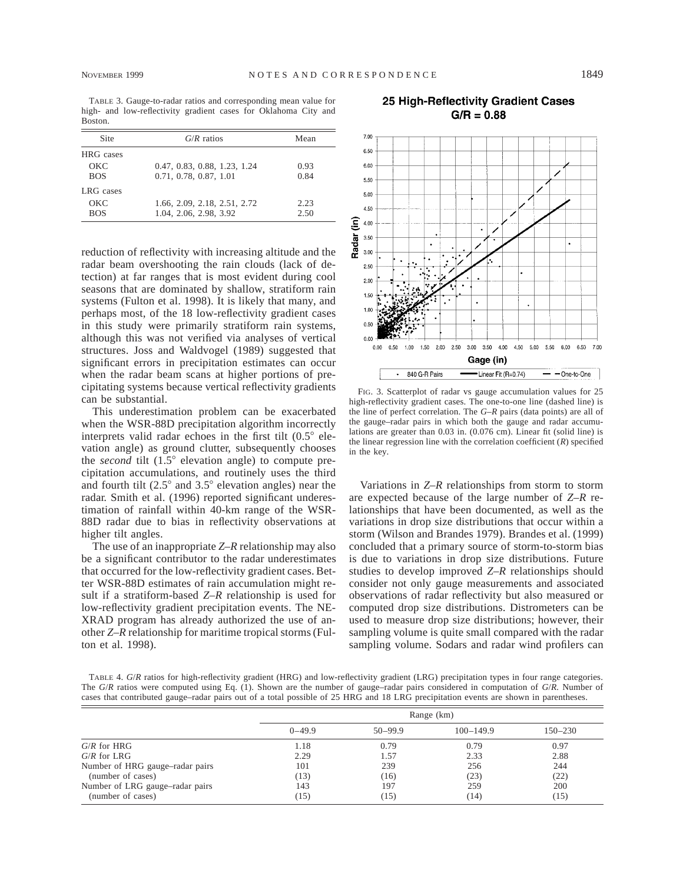TABLE 3. Gauge-to-radar ratios and corresponding mean value for high- and low-reflectivity gradient cases for Oklahoma City and Boston.

| Site       | $G/R$ ratios                 | Mean |
|------------|------------------------------|------|
| HRG cases  |                              |      |
| OKC        | 0.47, 0.83, 0.88, 1.23, 1.24 | 0.93 |
| <b>BOS</b> | 0.71, 0.78, 0.87, 1.01       | 0.84 |
| LRG cases  |                              |      |
| OKC        | 1.66, 2.09, 2.18, 2.51, 2.72 | 2.23 |
| <b>BOS</b> | 1.04, 2.06, 2.98, 3.92       | 2.50 |

reduction of reflectivity with increasing altitude and the radar beam overshooting the rain clouds (lack of detection) at far ranges that is most evident during cool seasons that are dominated by shallow, stratiform rain systems (Fulton et al. 1998). It is likely that many, and perhaps most, of the 18 low-reflectivity gradient cases in this study were primarily stratiform rain systems, although this was not verified via analyses of vertical structures. Joss and Waldvogel (1989) suggested that significant errors in precipitation estimates can occur when the radar beam scans at higher portions of precipitating systems because vertical reflectivity gradients can be substantial.

This underestimation problem can be exacerbated when the WSR-88D precipitation algorithm incorrectly interprets valid radar echoes in the first tilt  $(0.5^{\circ}$  elevation angle) as ground clutter, subsequently chooses the *second* tilt (1.5° elevation angle) to compute precipitation accumulations, and routinely uses the third and fourth tilt  $(2.5^{\circ}$  and  $3.5^{\circ}$  elevation angles) near the radar. Smith et al. (1996) reported significant underestimation of rainfall within 40-km range of the WSR-88D radar due to bias in reflectivity observations at higher tilt angles.

The use of an inappropriate *Z–R* relationship may also be a significant contributor to the radar underestimates that occurred for the low-reflectivity gradient cases. Better WSR-88D estimates of rain accumulation might result if a stratiform-based *Z–R* relationship is used for low-reflectivity gradient precipitation events. The NE-XRAD program has already authorized the use of another *Z–R* relationship for maritime tropical storms (Fulton et al. 1998).



25 High-Reflectivity Gradient Cases

FIG. 3. Scatterplot of radar vs gauge accumulation values for 25 high-reflectivity gradient cases. The one-to-one line (dashed line) is the line of perfect correlation. The *G–R* pairs (data points) are all of the gauge–radar pairs in which both the gauge and radar accumulations are greater than 0.03 in. (0.076 cm). Linear fit (solid line) is the linear regression line with the correlation coefficient (*R*) specified in the key.

Variations in *Z–R* relationships from storm to storm are expected because of the large number of *Z–R* relationships that have been documented, as well as the variations in drop size distributions that occur within a storm (Wilson and Brandes 1979). Brandes et al. (1999) concluded that a primary source of storm-to-storm bias is due to variations in drop size distributions. Future studies to develop improved *Z–R* relationships should consider not only gauge measurements and associated observations of radar reflectivity but also measured or computed drop size distributions. Distrometers can be used to measure drop size distributions; however, their sampling volume is quite small compared with the radar sampling volume. Sodars and radar wind profilers can

TABLE 4. *G*/*R* ratios for high-reflectivity gradient (HRG) and low-reflectivity gradient (LRG) precipitation types in four range categories. The *G*/*R* ratios were computed using Eq. (1). Shown are the number of gauge–radar pairs considered in computation of *G*/*R.* Number of cases that contributed gauge–radar pairs out of a total possible of 25 HRG and 18 LRG precipitation events are shown in parentheses.

|                                 |            |             | Range (km)    |             |
|---------------------------------|------------|-------------|---------------|-------------|
|                                 | $0 - 49.9$ | $50 - 99.9$ | $100 - 149.9$ | $150 - 230$ |
| $G/R$ for HRG                   | 1.18       | 0.79        | 0.79          | 0.97        |
| $G/R$ for LRG                   | 2.29       | 1.57        | 2.33          | 2.88        |
| Number of HRG gauge-radar pairs | 101        | 239         | 256           | 244         |
| (number of cases)               | (13)       | (16)        | (23)          | (22)        |
| Number of LRG gauge-radar pairs | 143        | 197         | 259           | 200         |
| (number of cases)               | (15)       | (15)        | (14)          | (15)        |